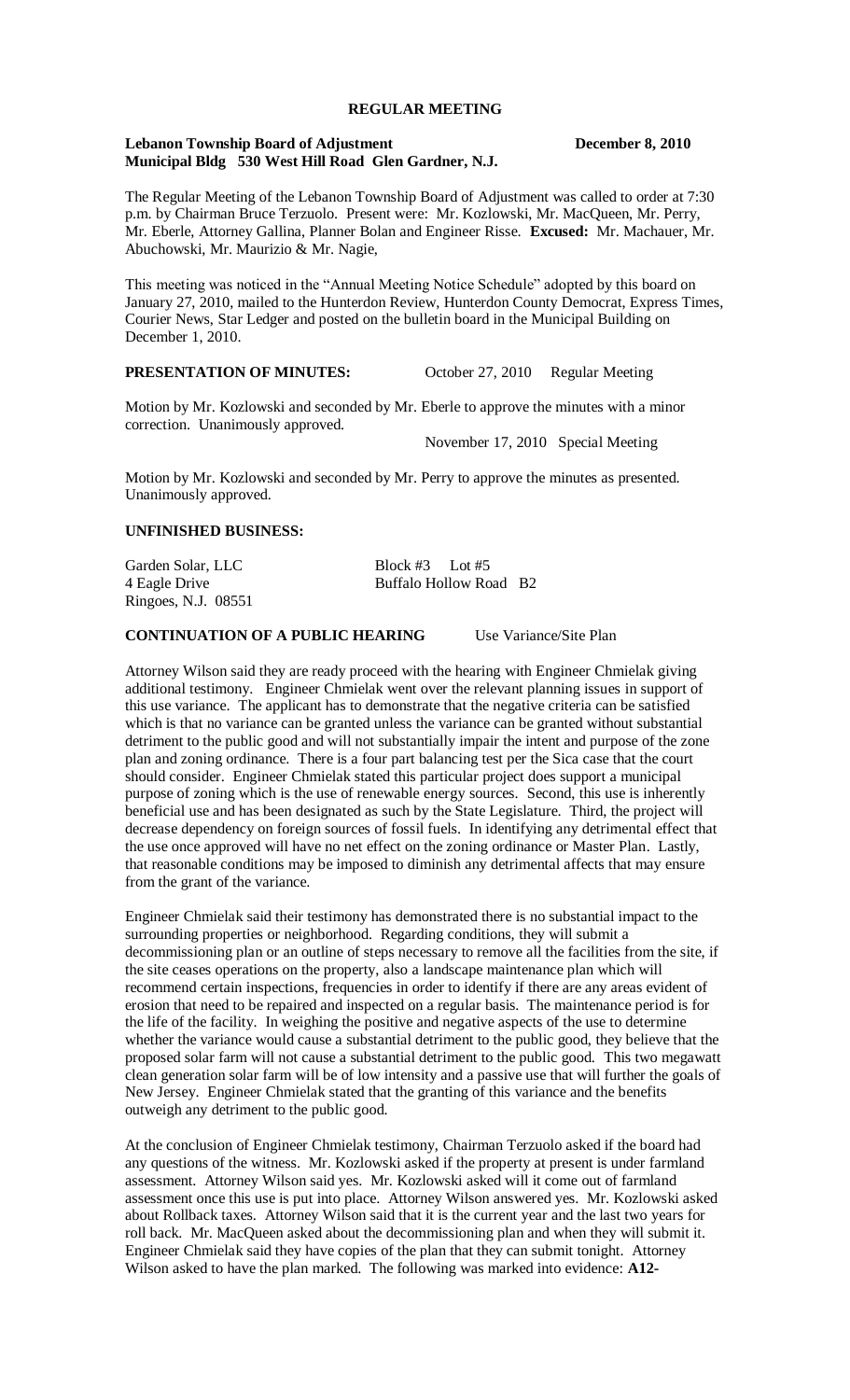#### **REGULAR MEETING**

#### **Lebanon Township Board of Adjustment December 8, 2010 Municipal Bldg 530 West Hill Road Glen Gardner, N.J.**

The Regular Meeting of the Lebanon Township Board of Adjustment was called to order at 7:30 p.m. by Chairman Bruce Terzuolo. Present were: Mr. Kozlowski, Mr. MacQueen, Mr. Perry, Mr. Eberle, Attorney Gallina, Planner Bolan and Engineer Risse. **Excused:** Mr. Machauer, Mr. Abuchowski, Mr. Maurizio & Mr. Nagie,

This meeting was noticed in the "Annual Meeting Notice Schedule" adopted by this board on January 27, 2010, mailed to the Hunterdon Review, Hunterdon County Democrat, Express Times, Courier News, Star Ledger and posted on the bulletin board in the Municipal Building on December 1, 2010.

## **PRESENTATION OF MINUTES:** October 27, 2010 Regular Meeting

Motion by Mr. Kozlowski and seconded by Mr. Eberle to approve the minutes with a minor correction. Unanimously approved.

November 17, 2010 Special Meeting

Motion by Mr. Kozlowski and seconded by Mr. Perry to approve the minutes as presented. Unanimously approved.

## **UNFINISHED BUSINESS:**

| Garden Solar, LLC   | Block #3 Lot #5        |  |
|---------------------|------------------------|--|
| 4 Eagle Drive       | Buffalo Hollow Road B2 |  |
| Ringoes, N.J. 08551 |                        |  |

## **CONTINUATION OF A PUBLIC HEARING** Use Variance/Site Plan

Attorney Wilson said they are ready proceed with the hearing with Engineer Chmielak giving additional testimony. Engineer Chmielak went over the relevant planning issues in support of this use variance. The applicant has to demonstrate that the negative criteria can be satisfied which is that no variance can be granted unless the variance can be granted without substantial detriment to the public good and will not substantially impair the intent and purpose of the zone plan and zoning ordinance. There is a four part balancing test per the Sica case that the court should consider. Engineer Chmielak stated this particular project does support a municipal purpose of zoning which is the use of renewable energy sources. Second, this use is inherently beneficial use and has been designated as such by the State Legislature. Third, the project will decrease dependency on foreign sources of fossil fuels. In identifying any detrimental effect that the use once approved will have no net effect on the zoning ordinance or Master Plan. Lastly, that reasonable conditions may be imposed to diminish any detrimental affects that may ensure from the grant of the variance.

Engineer Chmielak said their testimony has demonstrated there is no substantial impact to the surrounding properties or neighborhood. Regarding conditions, they will submit a decommissioning plan or an outline of steps necessary to remove all the facilities from the site, if the site ceases operations on the property, also a landscape maintenance plan which will recommend certain inspections, frequencies in order to identify if there are any areas evident of erosion that need to be repaired and inspected on a regular basis. The maintenance period is for the life of the facility. In weighing the positive and negative aspects of the use to determine whether the variance would cause a substantial detriment to the public good, they believe that the proposed solar farm will not cause a substantial detriment to the public good. This two megawatt clean generation solar farm will be of low intensity and a passive use that will further the goals of New Jersey. Engineer Chmielak stated that the granting of this variance and the benefits outweigh any detriment to the public good.

At the conclusion of Engineer Chmielak testimony, Chairman Terzuolo asked if the board had any questions of the witness. Mr. Kozlowski asked if the property at present is under farmland assessment. Attorney Wilson said yes. Mr. Kozlowski asked will it come out of farmland assessment once this use is put into place. Attorney Wilson answered yes. Mr. Kozlowski asked about Rollback taxes. Attorney Wilson said that it is the current year and the last two years for roll back. Mr. MacQueen asked about the decommissioning plan and when they will submit it. Engineer Chmielak said they have copies of the plan that they can submit tonight. Attorney Wilson asked to have the plan marked. The following was marked into evidence: **A12-**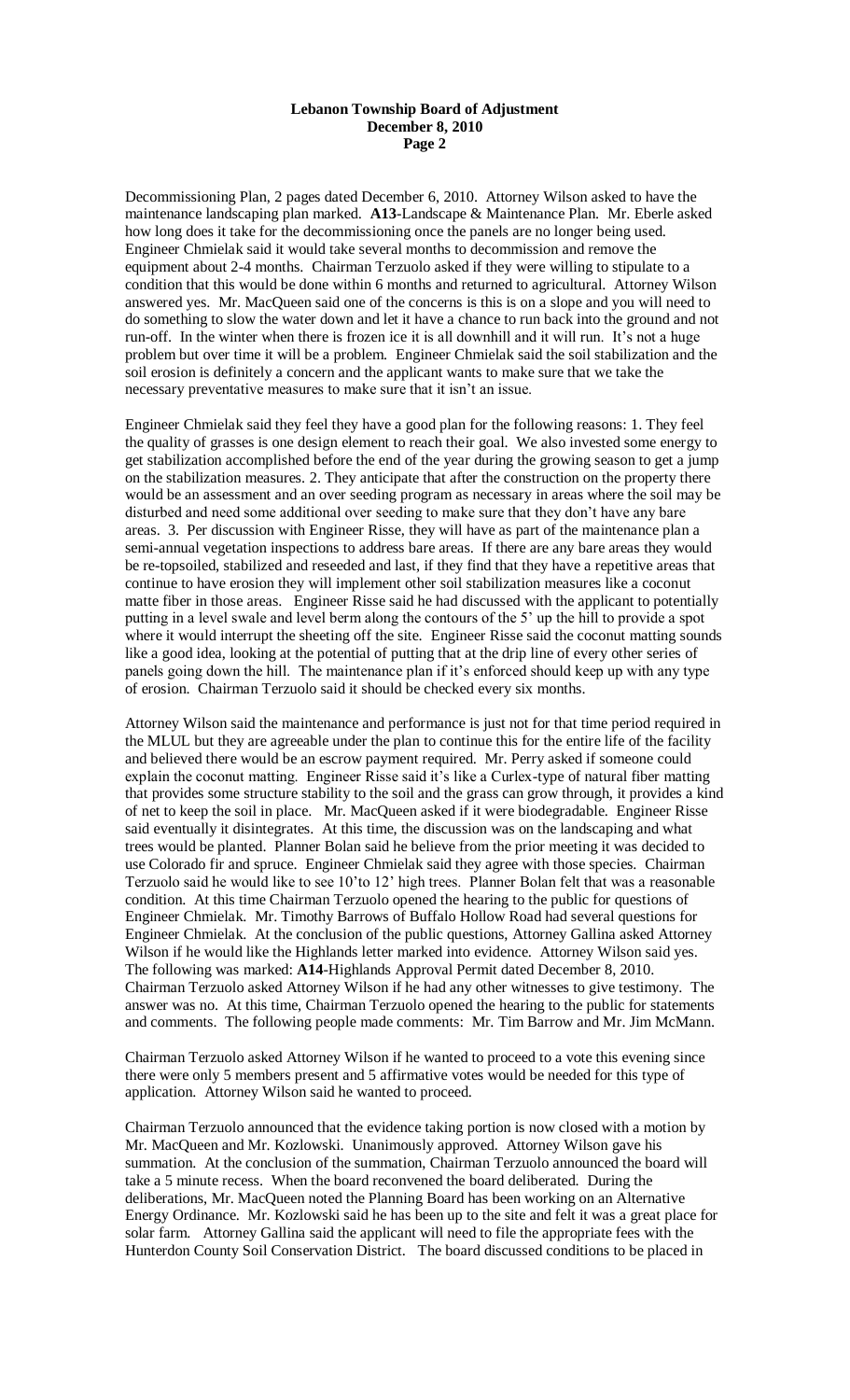#### **Lebanon Township Board of Adjustment December 8, 2010 Page 2**

Decommissioning Plan, 2 pages dated December 6, 2010. Attorney Wilson asked to have the maintenance landscaping plan marked. **A13**-Landscape & Maintenance Plan. Mr. Eberle asked how long does it take for the decommissioning once the panels are no longer being used. Engineer Chmielak said it would take several months to decommission and remove the equipment about 2-4 months. Chairman Terzuolo asked if they were willing to stipulate to a condition that this would be done within 6 months and returned to agricultural. Attorney Wilson answered yes. Mr. MacQueen said one of the concerns is this is on a slope and you will need to do something to slow the water down and let it have a chance to run back into the ground and not run-off. In the winter when there is frozen ice it is all downhill and it will run. It's not a huge problem but over time it will be a problem. Engineer Chmielak said the soil stabilization and the soil erosion is definitely a concern and the applicant wants to make sure that we take the necessary preventative measures to make sure that it isn't an issue.

Engineer Chmielak said they feel they have a good plan for the following reasons: 1. They feel the quality of grasses is one design element to reach their goal. We also invested some energy to get stabilization accomplished before the end of the year during the growing season to get a jump on the stabilization measures. 2. They anticipate that after the construction on the property there would be an assessment and an over seeding program as necessary in areas where the soil may be disturbed and need some additional over seeding to make sure that they don't have any bare areas. 3. Per discussion with Engineer Risse, they will have as part of the maintenance plan a semi-annual vegetation inspections to address bare areas. If there are any bare areas they would be re-topsoiled, stabilized and reseeded and last, if they find that they have a repetitive areas that continue to have erosion they will implement other soil stabilization measures like a coconut matte fiber in those areas. Engineer Risse said he had discussed with the applicant to potentially putting in a level swale and level berm along the contours of the 5' up the hill to provide a spot where it would interrupt the sheeting off the site. Engineer Risse said the coconut matting sounds like a good idea, looking at the potential of putting that at the drip line of every other series of panels going down the hill. The maintenance plan if it's enforced should keep up with any type of erosion. Chairman Terzuolo said it should be checked every six months.

Attorney Wilson said the maintenance and performance is just not for that time period required in the MLUL but they are agreeable under the plan to continue this for the entire life of the facility and believed there would be an escrow payment required. Mr. Perry asked if someone could explain the coconut matting. Engineer Risse said it's like a Curlex-type of natural fiber matting that provides some structure stability to the soil and the grass can grow through, it provides a kind of net to keep the soil in place. Mr. MacQueen asked if it were biodegradable. Engineer Risse said eventually it disintegrates. At this time, the discussion was on the landscaping and what trees would be planted. Planner Bolan said he believe from the prior meeting it was decided to use Colorado fir and spruce. Engineer Chmielak said they agree with those species. Chairman Terzuolo said he would like to see 10'to 12' high trees. Planner Bolan felt that was a reasonable condition. At this time Chairman Terzuolo opened the hearing to the public for questions of Engineer Chmielak. Mr. Timothy Barrows of Buffalo Hollow Road had several questions for Engineer Chmielak. At the conclusion of the public questions, Attorney Gallina asked Attorney Wilson if he would like the Highlands letter marked into evidence. Attorney Wilson said yes. The following was marked: **A14**-Highlands Approval Permit dated December 8, 2010. Chairman Terzuolo asked Attorney Wilson if he had any other witnesses to give testimony. The answer was no. At this time, Chairman Terzuolo opened the hearing to the public for statements and comments. The following people made comments: Mr. Tim Barrow and Mr. Jim McMann.

Chairman Terzuolo asked Attorney Wilson if he wanted to proceed to a vote this evening since there were only 5 members present and 5 affirmative votes would be needed for this type of application. Attorney Wilson said he wanted to proceed.

Chairman Terzuolo announced that the evidence taking portion is now closed with a motion by Mr. MacQueen and Mr. Kozlowski. Unanimously approved. Attorney Wilson gave his summation. At the conclusion of the summation, Chairman Terzuolo announced the board will take a 5 minute recess. When the board reconvened the board deliberated. During the deliberations, Mr. MacQueen noted the Planning Board has been working on an Alternative Energy Ordinance. Mr. Kozlowski said he has been up to the site and felt it was a great place for solar farm. Attorney Gallina said the applicant will need to file the appropriate fees with the Hunterdon County Soil Conservation District. The board discussed conditions to be placed in